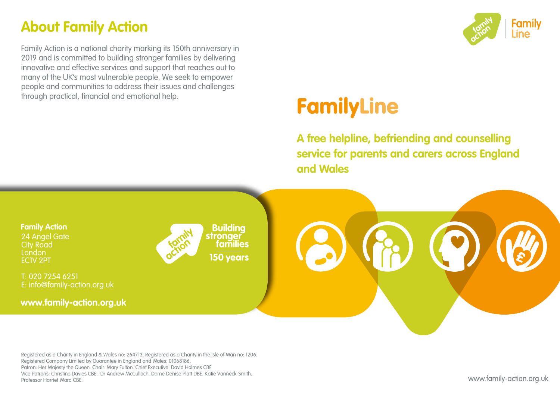### **About Family Action**

Family Action is a national charity marking its 150th anniversary in 2019 and is committed to building stronger families by delivering innovative and effective services and support that reaches out to many of the UK's most vulnerable people. We seek to empower people and communities to address their issues and challenges through practical, financial and emotional help.



# **FamilyLine**

**A free helpline, befriending and counselling service for parents and carers across England and Wales**



Registered as a Charity in England & Wales no: 264713. Registered as a Charity in the Isle of Man no: 1206. Registered Company Limited by Guarantee in England and Wales: 01068186. Patron: Her Majesty the Queen. Chair: Mary Fulton. Chief Executive: David Holmes CBE Vice Patrons: Christine Davies CBE. Dr Andrew McCulloch. Dame Denise Platt DBE. Katie Vanneck-Smith. Professor Harriet Ward CBE.